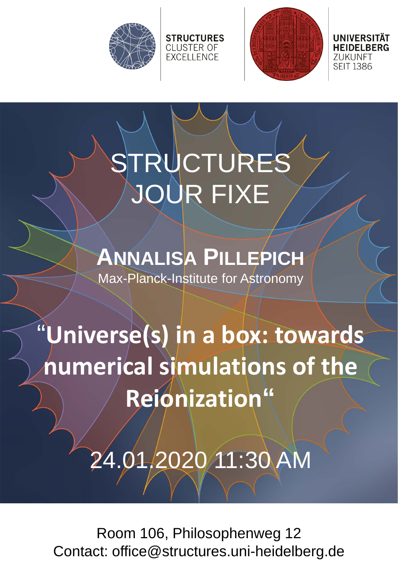



71 IKI INFT **SEIT 1386** 

## STRUCTURES JOUR FIXE

**STRUCTURES CLUSTER OF EXCELLENCE** 

## **ANNALISA PILLEPICH**

Max-Planck-Institute for Astronomy

"**Universe(s) in a box: towards numerical simulations of the Reionization"**

24.01.2020 11:30 AM

Room 106, Philosophenweg 12 Contact: office@structures.uni-heidelberg.de